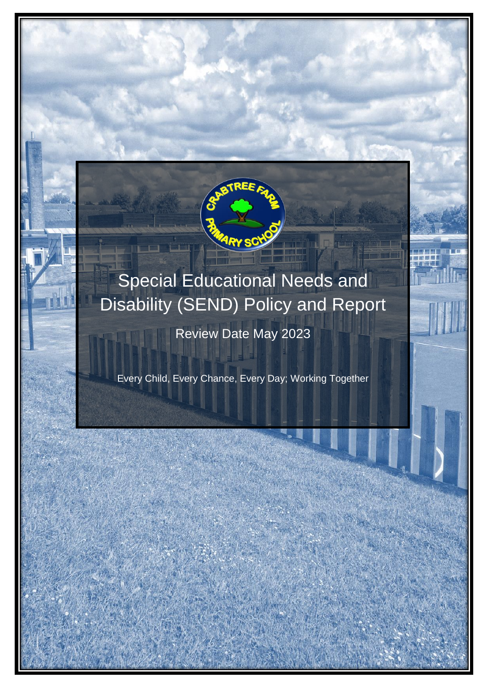

# Special Educational Needs and Disability (SEND) Policy and Report

Review Date May 2023

Every Child, Every Chance, Every Day; Working Together

SEND POLICY AND REPORT EVERY CHILD, EVERY CHANCE, EVERY DAY; WORKING TOGETHER 1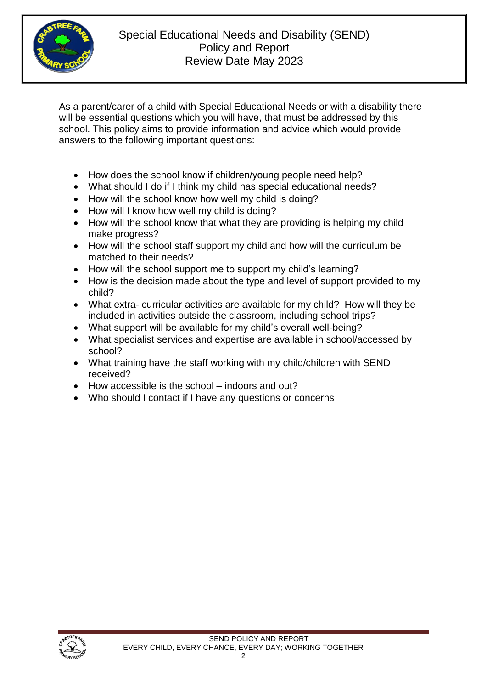

As a parent/carer of a child with Special Educational Needs or with a disability there will be essential questions which you will have, that must be addressed by this school. This policy aims to provide information and advice which would provide answers to the following important questions:

- How does the school know if children/young people need help?
- What should I do if I think my child has special educational needs?
- How will the school know how well my child is doing?
- How will I know how well my child is doing?
- How will the school know that what they are providing is helping my child make progress?
- How will the school staff support my child and how will the curriculum be matched to their needs?
- How will the school support me to support my child's learning?
- How is the decision made about the type and level of support provided to my child?
- What extra- curricular activities are available for my child? How will they be included in activities outside the classroom, including school trips?
- What support will be available for my child's overall well-being?
- What specialist services and expertise are available in school/accessed by school?
- What training have the staff working with my child/children with SEND received?
- How accessible is the school indoors and out?
- Who should I contact if I have any questions or concerns

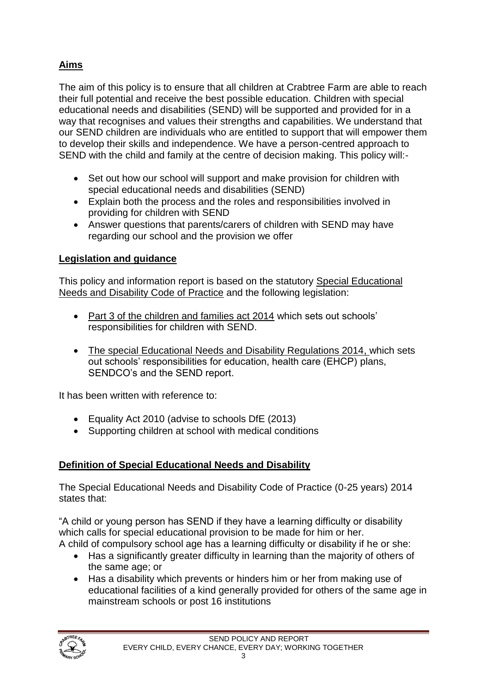# **Aims**

The aim of this policy is to ensure that all children at Crabtree Farm are able to reach their full potential and receive the best possible education. Children with special educational needs and disabilities (SEND) will be supported and provided for in a way that recognises and values their strengths and capabilities. We understand that our SEND children are individuals who are entitled to support that will empower them to develop their skills and independence. We have a person-centred approach to SEND with the child and family at the centre of decision making. This policy will:-

- Set out how our school will support and make provision for children with special educational needs and disabilities (SEND)
- Explain both the process and the roles and responsibilities involved in providing for children with SEND
- Answer questions that parents/carers of children with SEND may have regarding our school and the provision we offer

## **Legislation and guidance**

This policy and information report is based on the statutory Special Educational Needs and Disability Code of Practice and the following legislation:

- Part 3 of the children and families act 2014 which sets out schools' responsibilities for children with SEND.
- The special Educational Needs and Disability Regulations 2014, which sets out schools' responsibilities for education, health care (EHCP) plans, SENDCO's and the SEND report.

It has been written with reference to:

- Equality Act 2010 (advise to schools DfE (2013)
- Supporting children at school with medical conditions

## **Definition of Special Educational Needs and Disability**

The Special Educational Needs and Disability Code of Practice (0-25 years) 2014 states that:

"A child or young person has SEND if they have a learning difficulty or disability which calls for special educational provision to be made for him or her. A child of compulsory school age has a learning difficulty or disability if he or she:

- Has a significantly greater difficulty in learning than the majority of others of the same age; or
- Has a disability which prevents or hinders him or her from making use of educational facilities of a kind generally provided for others of the same age in mainstream schools or post 16 institutions

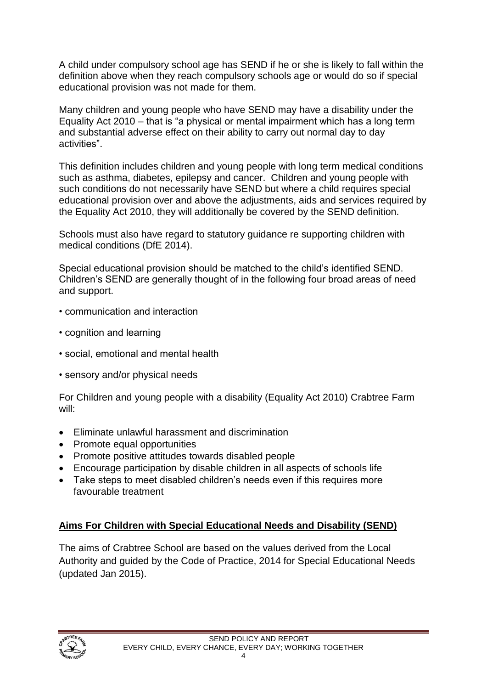A child under compulsory school age has SEND if he or she is likely to fall within the definition above when they reach compulsory schools age or would do so if special educational provision was not made for them.

Many children and young people who have SEND may have a disability under the Equality Act 2010 – that is "a physical or mental impairment which has a long term and substantial adverse effect on their ability to carry out normal day to day activities".

This definition includes children and young people with long term medical conditions such as asthma, diabetes, epilepsy and cancer. Children and young people with such conditions do not necessarily have SEND but where a child requires special educational provision over and above the adjustments, aids and services required by the Equality Act 2010, they will additionally be covered by the SEND definition.

Schools must also have regard to statutory guidance re supporting children with medical conditions (DfE 2014).

Special educational provision should be matched to the child's identified SEND. Children's SEND are generally thought of in the following four broad areas of need and support.

- communication and interaction
- cognition and learning
- social, emotional and mental health
- sensory and/or physical needs

For Children and young people with a disability (Equality Act 2010) Crabtree Farm will:

- Eliminate unlawful harassment and discrimination
- Promote equal opportunities
- Promote positive attitudes towards disabled people
- Encourage participation by disable children in all aspects of schools life
- Take steps to meet disabled children's needs even if this requires more favourable treatment

## **Aims For Children with Special Educational Needs and Disability (SEND)**

The aims of Crabtree School are based on the values derived from the Local Authority and guided by the Code of Practice, 2014 for Special Educational Needs (updated Jan 2015).

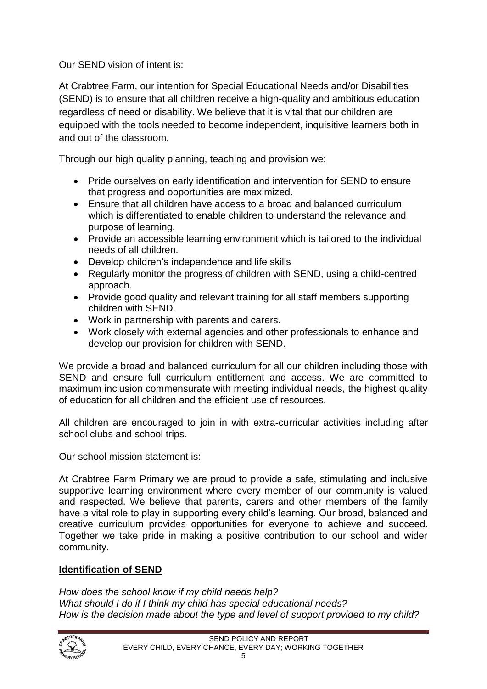Our SEND vision of intent is:

At Crabtree Farm, our intention for Special Educational Needs and/or Disabilities (SEND) is to ensure that all children receive a high-quality and ambitious education regardless of need or disability. We believe that it is vital that our children are equipped with the tools needed to become independent, inquisitive learners both in and out of the classroom.

Through our high quality planning, teaching and provision we:

- Pride ourselves on early identification and intervention for SEND to ensure that progress and opportunities are maximized.
- Ensure that all children have access to a broad and balanced curriculum which is differentiated to enable children to understand the relevance and purpose of learning.
- Provide an accessible learning environment which is tailored to the individual needs of all children.
- Develop children's independence and life skills
- Regularly monitor the progress of children with SEND, using a child-centred approach.
- Provide good quality and relevant training for all staff members supporting children with SEND.
- Work in partnership with parents and carers.
- Work closely with external agencies and other professionals to enhance and develop our provision for children with SEND.

We provide a broad and balanced curriculum for all our children including those with SEND and ensure full curriculum entitlement and access. We are committed to maximum inclusion commensurate with meeting individual needs, the highest quality of education for all children and the efficient use of resources.

All children are encouraged to join in with extra-curricular activities including after school clubs and school trips.

Our school mission statement is:

At Crabtree Farm Primary we are proud to provide a safe, stimulating and inclusive supportive learning environment where every member of our community is valued and respected. We believe that parents, carers and other members of the family have a vital role to play in supporting every child's learning. Our broad, balanced and creative curriculum provides opportunities for everyone to achieve and succeed. Together we take pride in making a positive contribution to our school and wider community.

## **Identification of SEND**

*How does the school know if my child needs help? What should I do if I think my child has special educational needs? How is the decision made about the type and level of support provided to my child?*

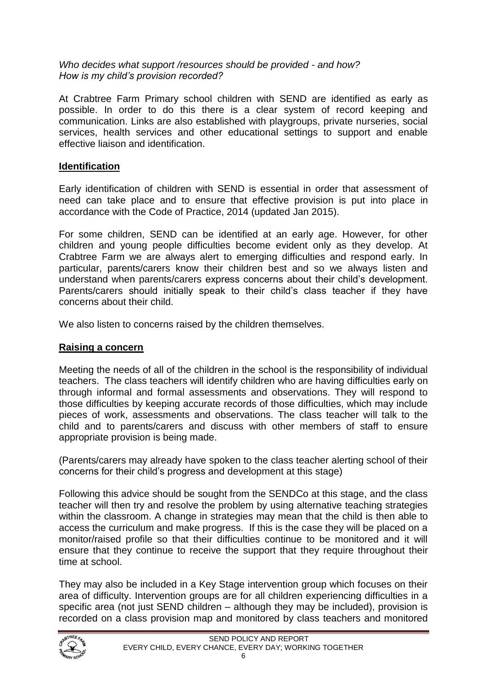#### *Who decides what support /resources should be provided - and how? How is my child's provision recorded?*

At Crabtree Farm Primary school children with SEND are identified as early as possible. In order to do this there is a clear system of record keeping and communication. Links are also established with playgroups, private nurseries, social services, health services and other educational settings to support and enable effective liaison and identification.

### **Identification**

Early identification of children with SEND is essential in order that assessment of need can take place and to ensure that effective provision is put into place in accordance with the Code of Practice, 2014 (updated Jan 2015).

For some children, SEND can be identified at an early age. However, for other children and young people difficulties become evident only as they develop. At Crabtree Farm we are always alert to emerging difficulties and respond early. In particular, parents/carers know their children best and so we always listen and understand when parents/carers express concerns about their child's development. Parents/carers should initially speak to their child's class teacher if they have concerns about their child.

We also listen to concerns raised by the children themselves.

## **Raising a concern**

Meeting the needs of all of the children in the school is the responsibility of individual teachers. The class teachers will identify children who are having difficulties early on through informal and formal assessments and observations. They will respond to those difficulties by keeping accurate records of those difficulties, which may include pieces of work, assessments and observations. The class teacher will talk to the child and to parents/carers and discuss with other members of staff to ensure appropriate provision is being made.

(Parents/carers may already have spoken to the class teacher alerting school of their concerns for their child's progress and development at this stage)

Following this advice should be sought from the SENDCo at this stage, and the class teacher will then try and resolve the problem by using alternative teaching strategies within the classroom. A change in strategies may mean that the child is then able to access the curriculum and make progress. If this is the case they will be placed on a monitor/raised profile so that their difficulties continue to be monitored and it will ensure that they continue to receive the support that they require throughout their time at school.

They may also be included in a Key Stage intervention group which focuses on their area of difficulty. Intervention groups are for all children experiencing difficulties in a specific area (not just SEND children – although they may be included), provision is recorded on a class provision map and monitored by class teachers and monitored

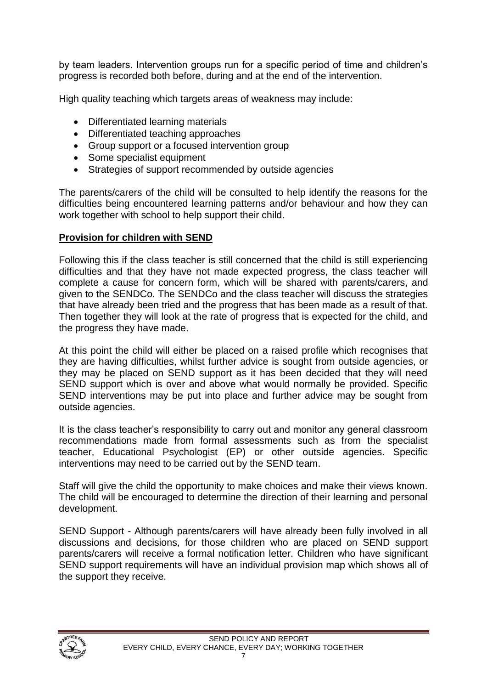by team leaders. Intervention groups run for a specific period of time and children's progress is recorded both before, during and at the end of the intervention.

High quality teaching which targets areas of weakness may include:

- Differentiated learning materials
- Differentiated teaching approaches
- Group support or a focused intervention group
- Some specialist equipment
- Strategies of support recommended by outside agencies

The parents/carers of the child will be consulted to help identify the reasons for the difficulties being encountered learning patterns and/or behaviour and how they can work together with school to help support their child.

#### **Provision for children with SEND**

Following this if the class teacher is still concerned that the child is still experiencing difficulties and that they have not made expected progress, the class teacher will complete a cause for concern form, which will be shared with parents/carers, and given to the SENDCo. The SENDCo and the class teacher will discuss the strategies that have already been tried and the progress that has been made as a result of that. Then together they will look at the rate of progress that is expected for the child, and the progress they have made.

At this point the child will either be placed on a raised profile which recognises that they are having difficulties, whilst further advice is sought from outside agencies, or they may be placed on SEND support as it has been decided that they will need SEND support which is over and above what would normally be provided. Specific SEND interventions may be put into place and further advice may be sought from outside agencies.

It is the class teacher's responsibility to carry out and monitor any general classroom recommendations made from formal assessments such as from the specialist teacher, Educational Psychologist (EP) or other outside agencies. Specific interventions may need to be carried out by the SEND team.

Staff will give the child the opportunity to make choices and make their views known. The child will be encouraged to determine the direction of their learning and personal development.

SEND Support - Although parents/carers will have already been fully involved in all discussions and decisions, for those children who are placed on SEND support parents/carers will receive a formal notification letter. Children who have significant SEND support requirements will have an individual provision map which shows all of the support they receive.

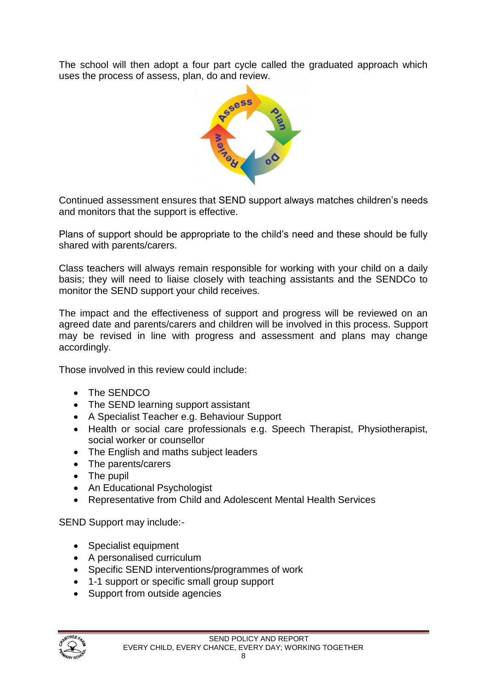The school will then adopt a four part cycle called the graduated approach which uses the process of assess, plan, do and review.



Continued assessment ensures that SEND support always matches children's needs and monitors that the support is effective.

Plans of support should be appropriate to the child's need and these should be fully shared with parents/carers.

Class teachers will always remain responsible for working with your child on a daily basis; they will need to liaise closely with teaching assistants and the SENDCo to monitor the SEND support your child receives.

The impact and the effectiveness of support and progress will be reviewed on an agreed date and parents/carers and children will be involved in this process. Support may be revised in line with progress and assessment and plans may change accordingly.

Those involved in this review could include:

- The SENDCO
- The SEND learning support assistant
- A Specialist Teacher e.g. Behaviour Support
- Health or social care professionals e.g. Speech Therapist, Physiotherapist, social worker or counsellor
- The English and maths subject leaders
- The parents/carers
- The pupil
- An Educational Psychologist
- Representative from Child and Adolescent Mental Health Services

SEND Support may include:-

- Specialist equipment
- A personalised curriculum
- Specific SEND interventions/programmes of work
- 1-1 support or specific small group support
- Support from outside agencies

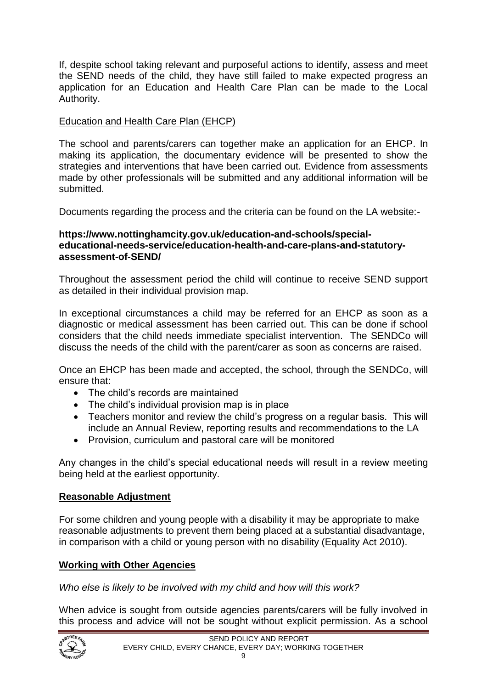If, despite school taking relevant and purposeful actions to identify, assess and meet the SEND needs of the child, they have still failed to make expected progress an application for an Education and Health Care Plan can be made to the Local Authority.

### Education and Health Care Plan (EHCP)

The school and parents/carers can together make an application for an EHCP. In making its application, the documentary evidence will be presented to show the strategies and interventions that have been carried out. Evidence from assessments made by other professionals will be submitted and any additional information will be submitted.

Documents regarding the process and the criteria can be found on the LA website:-

#### **https://www.nottinghamcity.gov.uk/education-and-schools/specialeducational-needs-service/education-health-and-care-plans-and-statutoryassessment-of-SEND/**

Throughout the assessment period the child will continue to receive SEND support as detailed in their individual provision map.

In exceptional circumstances a child may be referred for an EHCP as soon as a diagnostic or medical assessment has been carried out. This can be done if school considers that the child needs immediate specialist intervention. The SENDCo will discuss the needs of the child with the parent/carer as soon as concerns are raised.

Once an EHCP has been made and accepted, the school, through the SENDCo, will ensure that:

- The child's records are maintained
- The child's individual provision map is in place
- Teachers monitor and review the child's progress on a regular basis. This will include an Annual Review, reporting results and recommendations to the LA
- Provision, curriculum and pastoral care will be monitored

Any changes in the child's special educational needs will result in a review meeting being held at the earliest opportunity.

#### **Reasonable Adjustment**

For some children and young people with a disability it may be appropriate to make reasonable adjustments to prevent them being placed at a substantial disadvantage, in comparison with a child or young person with no disability (Equality Act 2010).

#### **Working with Other Agencies**

*Who else is likely to be involved with my child and how will this work?*

When advice is sought from outside agencies parents/carers will be fully involved in this process and advice will not be sought without explicit permission. As a school

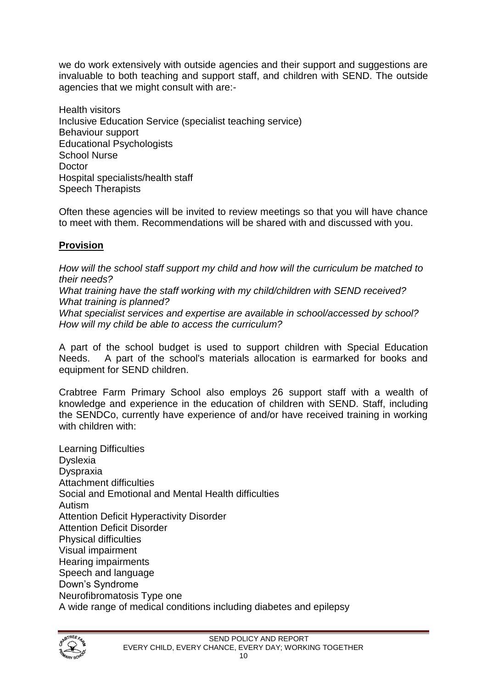we do work extensively with outside agencies and their support and suggestions are invaluable to both teaching and support staff, and children with SEND. The outside agencies that we might consult with are:-

Health visitors Inclusive Education Service (specialist teaching service) Behaviour support Educational Psychologists School Nurse Doctor Hospital specialists/health staff Speech Therapists

Often these agencies will be invited to review meetings so that you will have chance to meet with them. Recommendations will be shared with and discussed with you.

### **Provision**

*How will the school staff support my child and how will the curriculum be matched to their needs? What training have the staff working with my child/children with SEND received? What training is planned? What specialist services and expertise are available in school/accessed by school? How will my child be able to access the curriculum?*

A part of the school budget is used to support children with Special Education Needs. A part of the school's materials allocation is earmarked for books and equipment for SEND children.

Crabtree Farm Primary School also employs 26 support staff with a wealth of knowledge and experience in the education of children with SEND. Staff, including the SENDCo, currently have experience of and/or have received training in working with children with:

Learning Difficulties Dyslexia Dyspraxia Attachment difficulties Social and Emotional and Mental Health difficulties Autism Attention Deficit Hyperactivity Disorder Attention Deficit Disorder Physical difficulties Visual impairment Hearing impairments Speech and language Down's Syndrome Neurofibromatosis Type one A wide range of medical conditions including diabetes and epilepsy

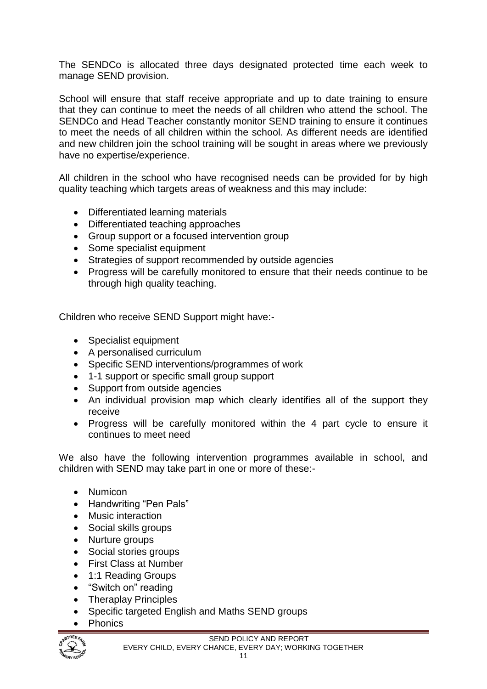The SENDCo is allocated three days designated protected time each week to manage SEND provision.

School will ensure that staff receive appropriate and up to date training to ensure that they can continue to meet the needs of all children who attend the school. The SENDCo and Head Teacher constantly monitor SEND training to ensure it continues to meet the needs of all children within the school. As different needs are identified and new children join the school training will be sought in areas where we previously have no expertise/experience.

All children in the school who have recognised needs can be provided for by high quality teaching which targets areas of weakness and this may include:

- Differentiated learning materials
- Differentiated teaching approaches
- Group support or a focused intervention group
- Some specialist equipment
- Strategies of support recommended by outside agencies
- Progress will be carefully monitored to ensure that their needs continue to be through high quality teaching.

Children who receive SEND Support might have:-

- Specialist equipment
- A personalised curriculum
- Specific SEND interventions/programmes of work
- 1-1 support or specific small group support
- Support from outside agencies
- An individual provision map which clearly identifies all of the support they receive
- Progress will be carefully monitored within the 4 part cycle to ensure it continues to meet need

We also have the following intervention programmes available in school, and children with SEND may take part in one or more of these:-

- Numicon
- Handwriting "Pen Pals"
- Music interaction
- Social skills groups
- Nurture groups
- Social stories groups
- First Class at Number
- 1:1 Reading Groups
- "Switch on" reading
- Theraplay Principles
- Specific targeted English and Maths SEND groups
- Phonics

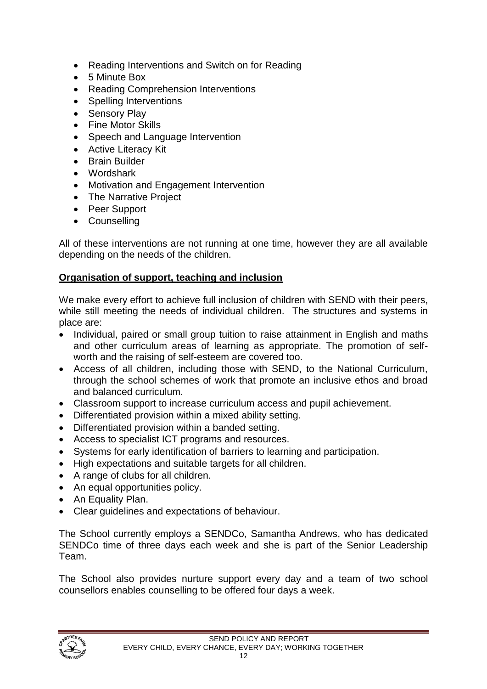- Reading Interventions and Switch on for Reading
- 5 Minute Box
- Reading Comprehension Interventions
- Spelling Interventions
- Sensory Play
- Fine Motor Skills
- Speech and Language Intervention
- Active Literacy Kit
- Brain Builder
- Wordshark
- Motivation and Engagement Intervention
- The Narrative Project
- Peer Support
- Counselling

All of these interventions are not running at one time, however they are all available depending on the needs of the children.

#### **Organisation of support, teaching and inclusion**

We make every effort to achieve full inclusion of children with SEND with their peers, while still meeting the needs of individual children. The structures and systems in place are:

- Individual, paired or small group tuition to raise attainment in English and maths and other curriculum areas of learning as appropriate. The promotion of selfworth and the raising of self-esteem are covered too.
- Access of all children, including those with SEND, to the National Curriculum, through the school schemes of work that promote an inclusive ethos and broad and balanced curriculum.
- Classroom support to increase curriculum access and pupil achievement.
- Differentiated provision within a mixed ability setting.
- Differentiated provision within a banded setting.
- Access to specialist ICT programs and resources.
- Systems for early identification of barriers to learning and participation.
- High expectations and suitable targets for all children.
- A range of clubs for all children.
- An equal opportunities policy.
- An Equality Plan.
- Clear guidelines and expectations of behaviour.

The School currently employs a SENDCo, Samantha Andrews, who has dedicated SENDCo time of three days each week and she is part of the Senior Leadership Team.

The School also provides nurture support every day and a team of two school counsellors enables counselling to be offered four days a week.

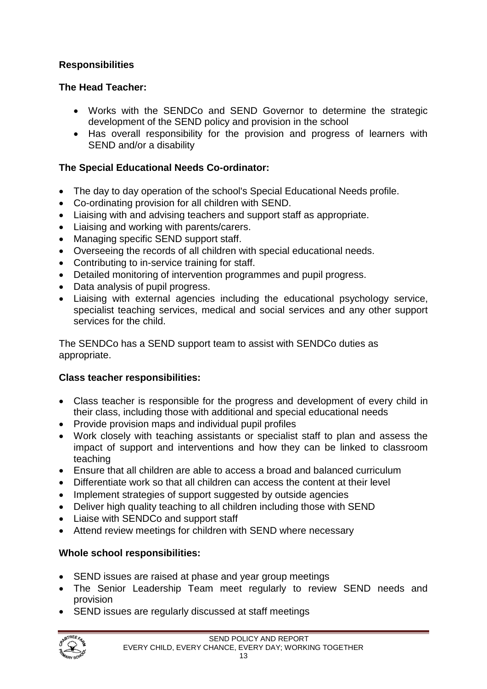## **Responsibilities**

## **The Head Teacher:**

- Works with the SENDCo and SEND Governor to determine the strategic development of the SEND policy and provision in the school
- Has overall responsibility for the provision and progress of learners with SEND and/or a disability

## **The Special Educational Needs Co-ordinator:**

- The day to day operation of the school's Special Educational Needs profile.
- Co-ordinating provision for all children with SEND.
- Liaising with and advising teachers and support staff as appropriate.
- Liaising and working with parents/carers.
- Managing specific SEND support staff.
- Overseeing the records of all children with special educational needs.
- Contributing to in-service training for staff.
- Detailed monitoring of intervention programmes and pupil progress.
- Data analysis of pupil progress.
- Liaising with external agencies including the educational psychology service, specialist teaching services, medical and social services and any other support services for the child.

The SENDCo has a SEND support team to assist with SENDCo duties as appropriate.

## **Class teacher responsibilities:**

- Class teacher is responsible for the progress and development of every child in their class, including those with additional and special educational needs
- Provide provision maps and individual pupil profiles
- Work closely with teaching assistants or specialist staff to plan and assess the impact of support and interventions and how they can be linked to classroom teaching
- Ensure that all children are able to access a broad and balanced curriculum
- Differentiate work so that all children can access the content at their level
- Implement strategies of support suggested by outside agencies
- Deliver high quality teaching to all children including those with SEND
- Liaise with SENDCo and support staff
- Attend review meetings for children with SEND where necessary

## **Whole school responsibilities:**

- SEND issues are raised at phase and year group meetings
- The Senior Leadership Team meet regularly to review SEND needs and provision
- SEND issues are regularly discussed at staff meetings

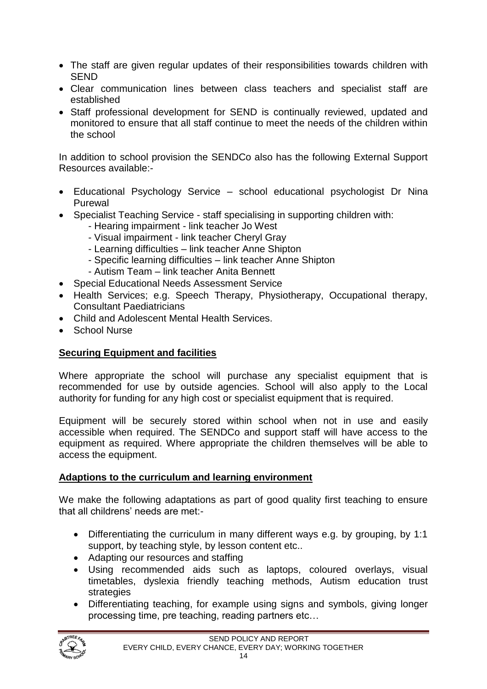- The staff are given regular updates of their responsibilities towards children with SEND
- Clear communication lines between class teachers and specialist staff are established
- Staff professional development for SEND is continually reviewed, updated and monitored to ensure that all staff continue to meet the needs of the children within the school

In addition to school provision the SENDCo also has the following External Support Resources available:-

- Educational Psychology Service school educational psychologist Dr Nina Purewal
- Specialist Teaching Service staff specialising in supporting children with:
	- Hearing impairment link teacher Jo West
	- Visual impairment link teacher Cheryl Gray
	- Learning difficulties link teacher Anne Shipton
	- Specific learning difficulties link teacher Anne Shipton
	- Autism Team link teacher Anita Bennett
- Special Educational Needs Assessment Service
- Health Services; e.g. Speech Therapy, Physiotherapy, Occupational therapy, Consultant Paediatricians
- Child and Adolescent Mental Health Services.
- School Nurse

#### **Securing Equipment and facilities**

Where appropriate the school will purchase any specialist equipment that is recommended for use by outside agencies. School will also apply to the Local authority for funding for any high cost or specialist equipment that is required.

Equipment will be securely stored within school when not in use and easily accessible when required. The SENDCo and support staff will have access to the equipment as required. Where appropriate the children themselves will be able to access the equipment.

#### **Adaptions to the curriculum and learning environment**

We make the following adaptations as part of good quality first teaching to ensure that all childrens' needs are met:-

- Differentiating the curriculum in many different ways e.g. by grouping, by 1:1 support, by teaching style, by lesson content etc..
- Adapting our resources and staffing
- Using recommended aids such as laptops, coloured overlays, visual timetables, dyslexia friendly teaching methods, Autism education trust strategies
- Differentiating teaching, for example using signs and symbols, giving longer processing time, pre teaching, reading partners etc…

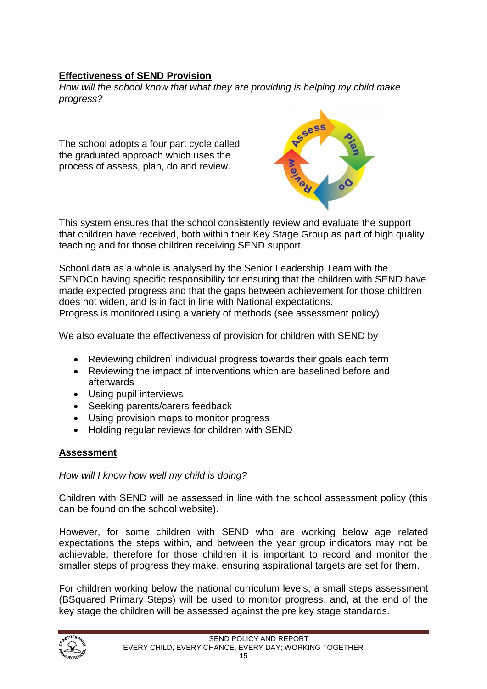## **Effectiveness of SEND Provision**

*How will the school know that what they are providing is helping my child make progress?*

The school adopts a four part cycle called the graduated approach which uses the process of assess, plan, do and review.



This system ensures that the school consistently review and evaluate the support that children have received, both within their Key Stage Group as part of high quality teaching and for those children receiving SEND support.

School data as a whole is analysed by the Senior Leadership Team with the SENDCo having specific responsibility for ensuring that the children with SEND have made expected progress and that the gaps between achievement for those children does not widen, and is in fact in line with National expectations. Progress is monitored using a variety of methods (see assessment policy)

We also evaluate the effectiveness of provision for children with SEND by

- 
- Reviewing children' individual progress towards their goals each term
- Reviewing the impact of interventions which are baselined before and afterwards
- Using pupil interviews
- Seeking parents/carers feedback
- Using provision maps to monitor progress
- Holding regular reviews for children with SEND

## **Assessment**

*How will I know how well my child is doing?*

Children with SEND will be assessed in line with the school assessment policy (this can be found on the school website).

However, for some children with SEND who are working below age related expectations the steps within, and between the year group indicators may not be achievable, therefore for those children it is important to record and monitor the smaller steps of progress they make, ensuring aspirational targets are set for them.

For children working below the national curriculum levels, a small steps assessment (BSquared Primary Steps) will be used to monitor progress, and, at the end of the key stage the children will be assessed against the pre key stage standards.

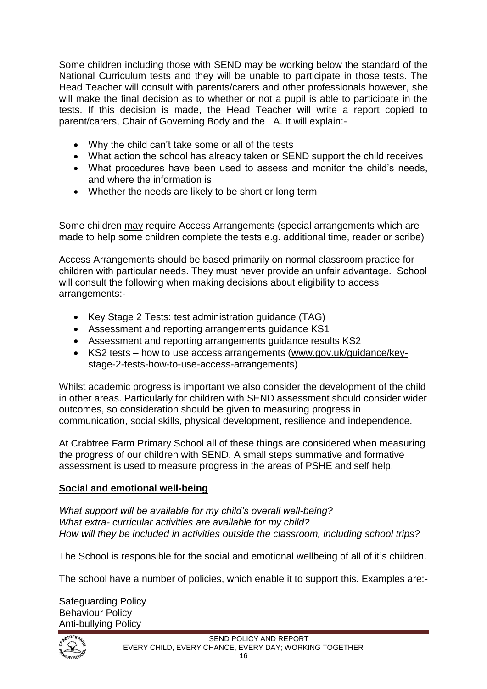Some children including those with SEND may be working below the standard of the National Curriculum tests and they will be unable to participate in those tests. The Head Teacher will consult with parents/carers and other professionals however, she will make the final decision as to whether or not a pupil is able to participate in the tests. If this decision is made, the Head Teacher will write a report copied to parent/carers, Chair of Governing Body and the LA. It will explain:-

- Why the child can't take some or all of the tests
- What action the school has already taken or SEND support the child receives
- What procedures have been used to assess and monitor the child's needs, and where the information is
- Whether the needs are likely to be short or long term

Some children may require Access Arrangements (special arrangements which are made to help some children complete the tests e.g. additional time, reader or scribe)

Access Arrangements should be based primarily on normal classroom practice for children with particular needs. They must never provide an unfair advantage. School will consult the following when making decisions about eligibility to access arrangements:-

- Key Stage 2 Tests: test administration guidance (TAG)
- Assessment and reporting arrangements guidance KS1
- Assessment and reporting arrangements guidance results KS2
- KS2 tests how to use access arrangements [\(www.gov.uk/guidance/key](http://www.gov.uk/guidance/key-stage-2-tests-how-to-use-access-arrangements)[stage-2-tests-how-to-use-access-arrangements\)](http://www.gov.uk/guidance/key-stage-2-tests-how-to-use-access-arrangements)

Whilst academic progress is important we also consider the development of the child in other areas. Particularly for children with SEND assessment should consider wider outcomes, so consideration should be given to measuring progress in communication, social skills, physical development, resilience and independence.

At Crabtree Farm Primary School all of these things are considered when measuring the progress of our children with SEND. A small steps summative and formative assessment is used to measure progress in the areas of PSHE and self help.

#### **Social and emotional well-being**

*What support will be available for my child's overall well-being? What extra- curricular activities are available for my child? How will they be included in activities outside the classroom, including school trips?*

The School is responsible for the social and emotional wellbeing of all of it's children.

The school have a number of policies, which enable it to support this. Examples are:-

Safeguarding Policy Behaviour Policy Anti-bullying Policy

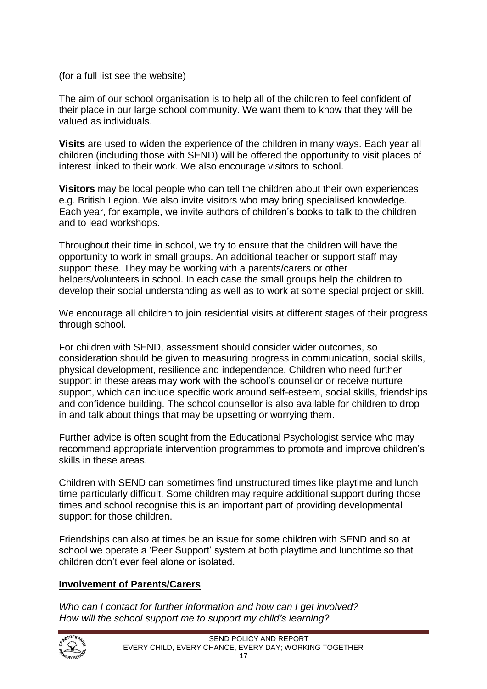(for a full list see the website)

The aim of our school organisation is to help all of the children to feel confident of their place in our large school community. We want them to know that they will be valued as individuals.

**Visits** are used to widen the experience of the children in many ways. Each year all children (including those with SEND) will be offered the opportunity to visit places of interest linked to their work. We also encourage visitors to school.

**Visitors** may be local people who can tell the children about their own experiences e.g. British Legion. We also invite visitors who may bring specialised knowledge. Each year, for example, we invite authors of children's books to talk to the children and to lead workshops.

Throughout their time in school, we try to ensure that the children will have the opportunity to work in small groups. An additional teacher or support staff may support these. They may be working with a parents/carers or other helpers/volunteers in school. In each case the small groups help the children to develop their social understanding as well as to work at some special project or skill.

We encourage all children to join residential visits at different stages of their progress through school.

For children with SEND, assessment should consider wider outcomes, so consideration should be given to measuring progress in communication, social skills, physical development, resilience and independence. Children who need further support in these areas may work with the school's counsellor or receive nurture support, which can include specific work around self-esteem, social skills, friendships and confidence building. The school counsellor is also available for children to drop in and talk about things that may be upsetting or worrying them.

Further advice is often sought from the Educational Psychologist service who may recommend appropriate intervention programmes to promote and improve children's skills in these areas.

Children with SEND can sometimes find unstructured times like playtime and lunch time particularly difficult. Some children may require additional support during those times and school recognise this is an important part of providing developmental support for those children.

Friendships can also at times be an issue for some children with SEND and so at school we operate a 'Peer Support' system at both playtime and lunchtime so that children don't ever feel alone or isolated.

#### **Involvement of Parents/Carers**

*Who can I contact for further information and how can I get involved? How will the school support me to support my child's learning?* 

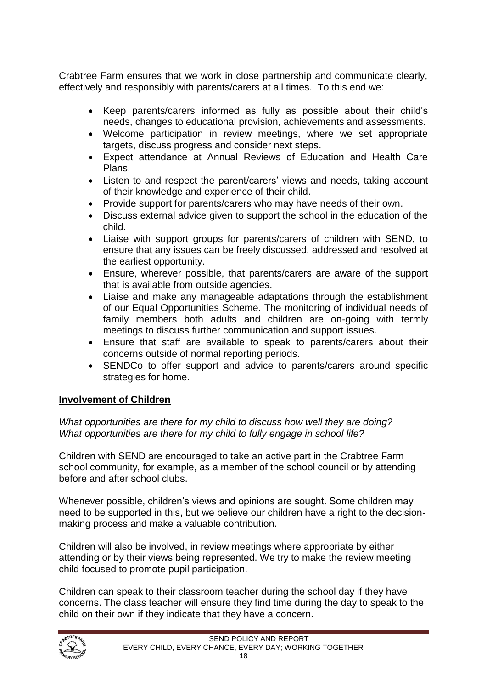Crabtree Farm ensures that we work in close partnership and communicate clearly, effectively and responsibly with parents/carers at all times. To this end we:

- Keep parents/carers informed as fully as possible about their child's needs, changes to educational provision, achievements and assessments.
- Welcome participation in review meetings, where we set appropriate targets, discuss progress and consider next steps.
- Expect attendance at Annual Reviews of Education and Health Care Plans.
- Listen to and respect the parent/carers' views and needs, taking account of their knowledge and experience of their child.
- Provide support for parents/carers who may have needs of their own.
- Discuss external advice given to support the school in the education of the child.
- Liaise with support groups for parents/carers of children with SEND, to ensure that any issues can be freely discussed, addressed and resolved at the earliest opportunity.
- Ensure, wherever possible, that parents/carers are aware of the support that is available from outside agencies.
- Liaise and make any manageable adaptations through the establishment of our Equal Opportunities Scheme. The monitoring of individual needs of family members both adults and children are on-going with termly meetings to discuss further communication and support issues.
- Ensure that staff are available to speak to parents/carers about their concerns outside of normal reporting periods.
- SENDCo to offer support and advice to parents/carers around specific strategies for home.

#### **Involvement of Children**

*What opportunities are there for my child to discuss how well they are doing? What opportunities are there for my child to fully engage in school life?*

Children with SEND are encouraged to take an active part in the Crabtree Farm school community, for example, as a member of the school council or by attending before and after school clubs.

Whenever possible, children's views and opinions are sought. Some children may need to be supported in this, but we believe our children have a right to the decisionmaking process and make a valuable contribution.

Children will also be involved, in review meetings where appropriate by either attending or by their views being represented. We try to make the review meeting child focused to promote pupil participation.

Children can speak to their classroom teacher during the school day if they have concerns. The class teacher will ensure they find time during the day to speak to the child on their own if they indicate that they have a concern.

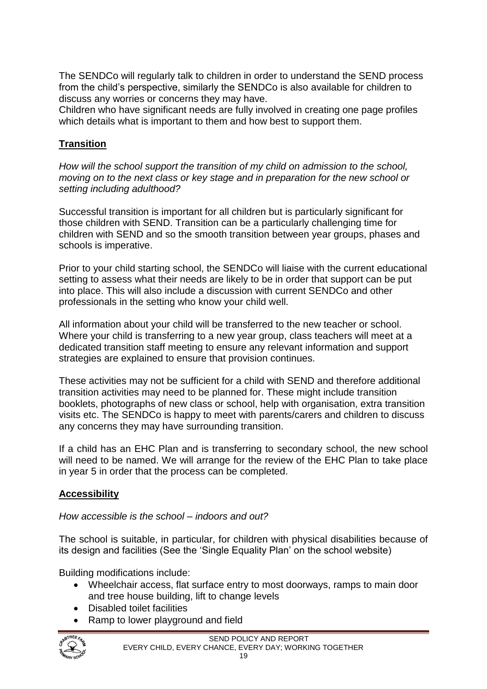The SENDCo will regularly talk to children in order to understand the SEND process from the child's perspective, similarly the SENDCo is also available for children to discuss any worries or concerns they may have.

Children who have significant needs are fully involved in creating one page profiles which details what is important to them and how best to support them.

## **Transition**

*How will the school support the transition of my child on admission to the school, moving on to the next class or key stage and in preparation for the new school or setting including adulthood?*

Successful transition is important for all children but is particularly significant for those children with SEND. Transition can be a particularly challenging time for children with SEND and so the smooth transition between year groups, phases and schools is imperative.

Prior to your child starting school, the SENDCo will liaise with the current educational setting to assess what their needs are likely to be in order that support can be put into place. This will also include a discussion with current SENDCo and other professionals in the setting who know your child well.

All information about your child will be transferred to the new teacher or school. Where your child is transferring to a new year group, class teachers will meet at a dedicated transition staff meeting to ensure any relevant information and support strategies are explained to ensure that provision continues.

These activities may not be sufficient for a child with SEND and therefore additional transition activities may need to be planned for. These might include transition booklets, photographs of new class or school, help with organisation, extra transition visits etc. The SENDCo is happy to meet with parents/carers and children to discuss any concerns they may have surrounding transition.

If a child has an EHC Plan and is transferring to secondary school, the new school will need to be named. We will arrange for the review of the EHC Plan to take place in year 5 in order that the process can be completed.

## **Accessibility**

#### *How accessible is the school – indoors and out?*

The school is suitable, in particular, for children with physical disabilities because of its design and facilities (See the 'Single Equality Plan' on the school website)

Building modifications include:

- Wheelchair access, flat surface entry to most doorways, ramps to main door and tree house building, lift to change levels
- Disabled toilet facilities
- Ramp to lower playground and field

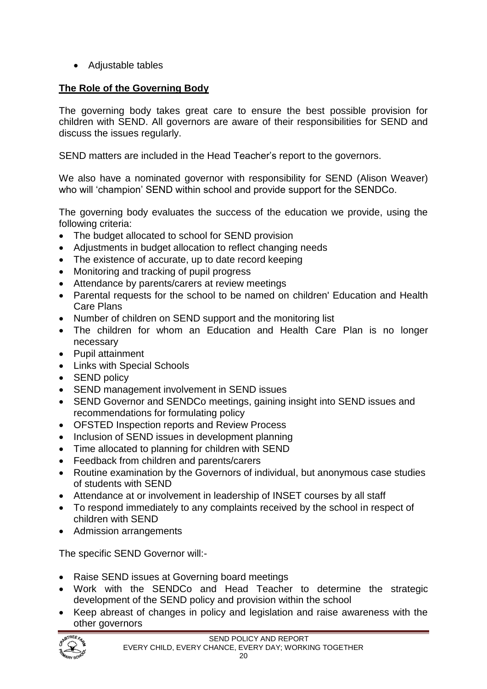• Adjustable tables

## **The Role of the Governing Body**

The governing body takes great care to ensure the best possible provision for children with SEND. All governors are aware of their responsibilities for SEND and discuss the issues regularly.

SEND matters are included in the Head Teacher's report to the governors.

We also have a nominated governor with responsibility for SEND (Alison Weaver) who will 'champion' SEND within school and provide support for the SENDCo.

The governing body evaluates the success of the education we provide, using the following criteria:

- The budget allocated to school for SEND provision
- Adjustments in budget allocation to reflect changing needs
- The existence of accurate, up to date record keeping
- Monitoring and tracking of pupil progress
- Attendance by parents/carers at review meetings
- Parental requests for the school to be named on children' Education and Health Care Plans
- Number of children on SEND support and the monitoring list
- The children for whom an Education and Health Care Plan is no longer necessary
- Pupil attainment
- Links with Special Schools
- SEND policy
- SEND management involvement in SEND issues
- SEND Governor and SENDCo meetings, gaining insight into SEND issues and recommendations for formulating policy
- OFSTED Inspection reports and Review Process
- Inclusion of SEND issues in development planning
- Time allocated to planning for children with SEND
- Feedback from children and parents/carers
- Routine examination by the Governors of individual, but anonymous case studies of students with SEND
- Attendance at or involvement in leadership of INSET courses by all staff
- To respond immediately to any complaints received by the school in respect of children with SEND
- Admission arrangements

The specific SEND Governor will:-

- Raise SEND issues at Governing board meetings
- Work with the SENDCo and Head Teacher to determine the strategic development of the SEND policy and provision within the school
- Keep abreast of changes in policy and legislation and raise awareness with the other governors